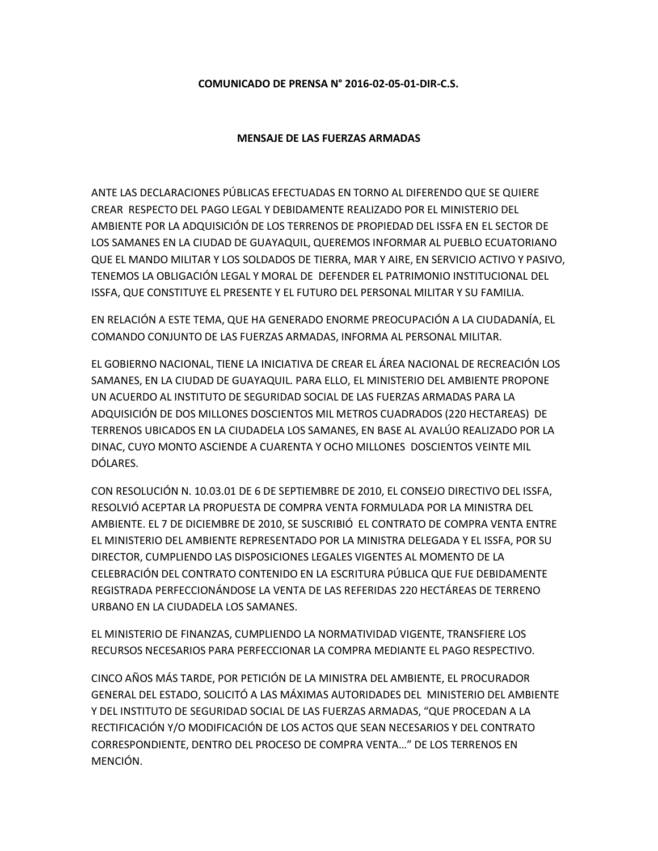## **COMUNICADO DE PRENSA N° 2016-02-05-01-DIR-C.S.**

## **MENSAJE DE LAS FUERZAS ARMADAS**

ANTE LAS DECLARACIONES PÚBLICAS EFECTUADAS EN TORNO AL DIFERENDO QUE SE QUIERE CREAR RESPECTO DEL PAGO LEGAL Y DEBIDAMENTE REALIZADO POR EL MINISTERIO DEL AMBIENTE POR LA ADQUISICIÓN DE LOS TERRENOS DE PROPIEDAD DEL ISSFA EN EL SECTOR DE LOS SAMANES EN LA CIUDAD DE GUAYAQUIL, QUEREMOS INFORMAR AL PUEBLO ECUATORIANO QUE EL MANDO MILITAR Y LOS SOLDADOS DE TIERRA, MAR Y AIRE, EN SERVICIO ACTIVO Y PASIVO, TENEMOS LA OBLIGACIÓN LEGAL Y MORAL DE DEFENDER EL PATRIMONIO INSTITUCIONAL DEL ISSFA, QUE CONSTITUYE EL PRESENTE Y EL FUTURO DEL PERSONAL MILITAR Y SU FAMILIA.

EN RELACIÓN A ESTE TEMA, QUE HA GENERADO ENORME PREOCUPACIÓN A LA CIUDADANÍA, EL COMANDO CONJUNTO DE LAS FUERZAS ARMADAS, INFORMA AL PERSONAL MILITAR.

EL GOBIERNO NACIONAL, TIENE LA INICIATIVA DE CREAR EL ÁREA NACIONAL DE RECREACIÓN LOS SAMANES, EN LA CIUDAD DE GUAYAQUIL. PARA ELLO, EL MINISTERIO DEL AMBIENTE PROPONE UN ACUERDO AL INSTITUTO DE SEGURIDAD SOCIAL DE LAS FUERZAS ARMADAS PARA LA ADQUISICIÓN DE DOS MILLONES DOSCIENTOS MIL METROS CUADRADOS (220 HECTAREAS) DE TERRENOS UBICADOS EN LA CIUDADELA LOS SAMANES, EN BASE AL AVALÚO REALIZADO POR LA DINAC, CUYO MONTO ASCIENDE A CUARENTA Y OCHO MILLONES DOSCIENTOS VEINTE MIL DÓLARES.

CON RESOLUCIÓN N. 10.03.01 DE 6 DE SEPTIEMBRE DE 2010, EL CONSEJO DIRECTIVO DEL ISSFA, RESOLVIÓ ACEPTAR LA PROPUESTA DE COMPRA VENTA FORMULADA POR LA MINISTRA DEL AMBIENTE. EL 7 DE DICIEMBRE DE 2010, SE SUSCRIBIÓ EL CONTRATO DE COMPRA VENTA ENTRE EL MINISTERIO DEL AMBIENTE REPRESENTADO POR LA MINISTRA DELEGADA Y EL ISSFA, POR SU DIRECTOR, CUMPLIENDO LAS DISPOSICIONES LEGALES VIGENTES AL MOMENTO DE LA CELEBRACIÓN DEL CONTRATO CONTENIDO EN LA ESCRITURA PÚBLICA QUE FUE DEBIDAMENTE REGISTRADA PERFECCIONÁNDOSE LA VENTA DE LAS REFERIDAS 220 HECTÁREAS DE TERRENO URBANO EN LA CIUDADELA LOS SAMANES.

EL MINISTERIO DE FINANZAS, CUMPLIENDO LA NORMATIVIDAD VIGENTE, TRANSFIERE LOS RECURSOS NECESARIOS PARA PERFECCIONAR LA COMPRA MEDIANTE EL PAGO RESPECTIVO.

CINCO AÑOS MÁS TARDE, POR PETICIÓN DE LA MINISTRA DEL AMBIENTE, EL PROCURADOR GENERAL DEL ESTADO, SOLICITÓ A LAS MÁXIMAS AUTORIDADES DEL MINISTERIO DEL AMBIENTE Y DEL INSTITUTO DE SEGURIDAD SOCIAL DE LAS FUERZAS ARMADAS, "QUE PROCEDAN A LA RECTIFICACIÓN Y/O MODIFICACIÓN DE LOS ACTOS QUE SEAN NECESARIOS Y DEL CONTRATO CORRESPONDIENTE, DENTRO DEL PROCESO DE COMPRA VENTA…" DE LOS TERRENOS EN MENCIÓN.